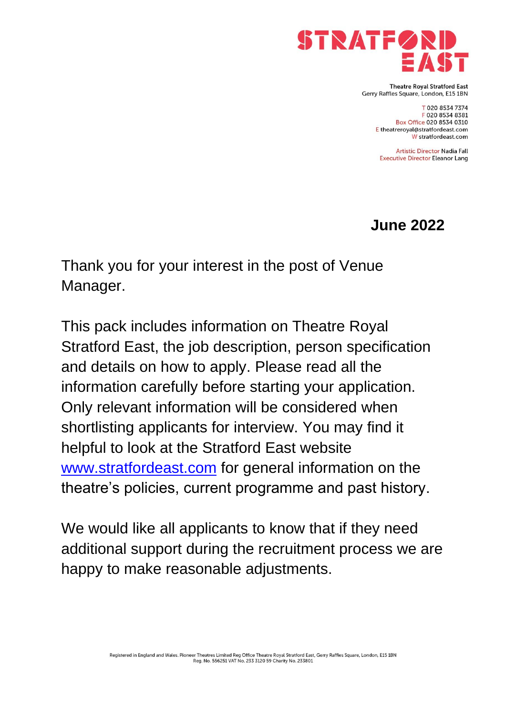

**Theatre Roval Stratford East** Gerry Raffles Square, London, E15 1BN

> T 020 8534 7374 F 020 8534 8381 Box Office 020 8534 0310 E theatreroyal@stratfordeast.com W stratfordeast.com

**Artistic Director Nadia Fall Executive Director Eleanor Lang** 

**June 2022**

Thank you for your interest in the post of Venue Manager.

This pack includes information on Theatre Royal Stratford East, the job description, person specification and details on how to apply. Please read all the information carefully before starting your application. Only relevant information will be considered when shortlisting applicants for interview. You may find it helpful to look at the Stratford East website [www.stratfordeast.com](http://www.stratfordeast.com/) for general information on the theatre's policies, current programme and past history.

We would like all applicants to know that if they need additional support during the recruitment process we are happy to make reasonable adjustments.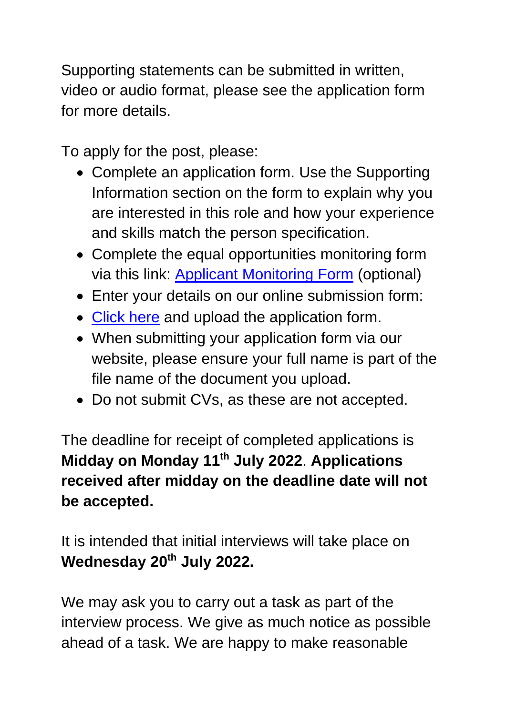Supporting statements can be submitted in written, video or audio format, please see the application form for more details.

To apply for the post, please:

- Complete an application form. Use the Supporting Information section on the form to explain why you are interested in this role and how your experience and skills match the person specification.
- Complete the equal opportunities monitoring form via this link: [Applicant Monitoring Form](https://forms.office.com/Pages/ResponsePage.aspx?id=K5R9BddtBUulzciPx-n-hoK9j1epvSBNkUfFxOLn6hxUMUZXVUFQR0NEUDczUUQ2RVJOMVBYSERYMiQlQCN0PWcu) (optional)
- Enter your details on our online submission form:
- [Click here](https://hr.breathehr.com/v/venue-manager-23964) and upload the application form.
- When submitting your application form via our website, please ensure your full name is part of the file name of the document you upload.
- Do not submit CVs, as these are not accepted.

The deadline for receipt of completed applications is **Midday on Monday 11th July 2022**. **Applications received after midday on the deadline date will not be accepted.**

It is intended that initial interviews will take place on **Wednesday 20th July 2022.**

We may ask you to carry out a task as part of the interview process. We give as much notice as possible ahead of a task. We are happy to make reasonable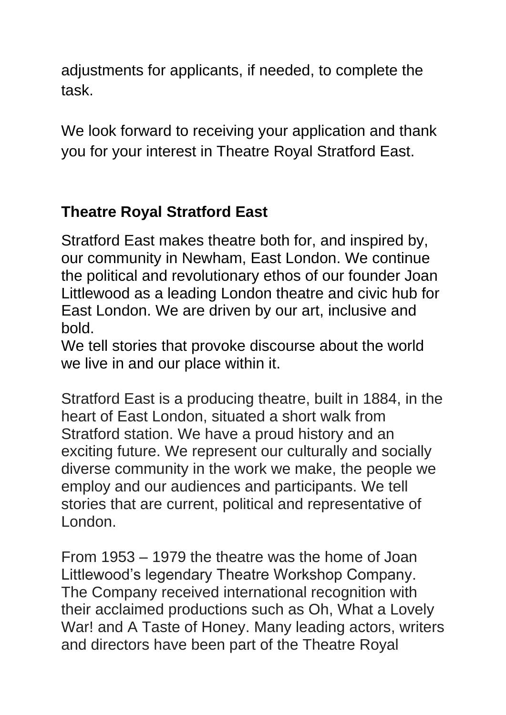adjustments for applicants, if needed, to complete the task.

We look forward to receiving your application and thank you for your interest in Theatre Royal Stratford East.

# **Theatre Royal Stratford East**

Stratford East makes theatre both for, and inspired by, our community in Newham, East London. We continue the political and revolutionary ethos of our founder Joan Littlewood as a leading London theatre and civic hub for East London. We are driven by our art, inclusive and bold.

We tell stories that provoke discourse about the world we live in and our place within it.

Stratford East is a producing theatre, built in 1884, in the heart of East London, situated a short walk from Stratford station. We have a proud history and an exciting future. We represent our culturally and socially diverse community in the work we make, the people we employ and our audiences and participants. We tell stories that are current, political and representative of London.

From 1953 – 1979 the theatre was the home of Joan Littlewood's legendary Theatre Workshop Company. The Company received international recognition with their acclaimed productions such as Oh, What a Lovely War! and A Taste of Honey. Many leading actors, writers and directors have been part of the Theatre Royal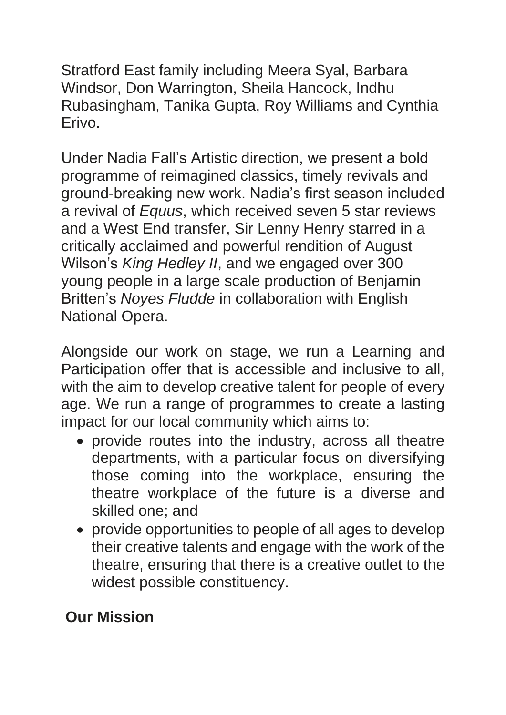Stratford East family including Meera Syal, Barbara Windsor, Don Warrington, Sheila Hancock, Indhu Rubasingham, Tanika Gupta, Roy Williams and Cynthia Erivo.

Under Nadia Fall's Artistic direction, we present a bold programme of reimagined classics, timely revivals and ground-breaking new work. Nadia's first season included a revival of *Equus*, which received seven 5 star reviews and a West End transfer, Sir Lenny Henry starred in a critically acclaimed and powerful rendition of August Wilson's *King Hedley II*, and we engaged over 300 young people in a large scale production of Benjamin Britten's *Noyes Fludde* in collaboration with English National Opera.

Alongside our work on stage, we run a Learning and Participation offer that is accessible and inclusive to all, with the aim to develop creative talent for people of every age. We run a range of programmes to create a lasting impact for our local community which aims to:

- provide routes into the industry, across all theatre departments, with a particular focus on diversifying those coming into the workplace, ensuring the theatre workplace of the future is a diverse and skilled one; and
- provide opportunities to people of all ages to develop their creative talents and engage with the work of the theatre, ensuring that there is a creative outlet to the widest possible constituency.

# **Our Mission**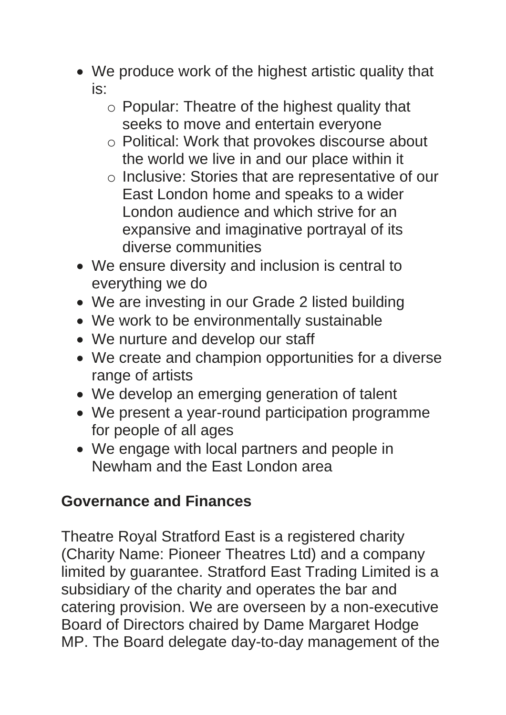- We produce work of the highest artistic quality that is:
	- o Popular: Theatre of the highest quality that seeks to move and entertain everyone
	- o Political: Work that provokes discourse about the world we live in and our place within it
	- o Inclusive: Stories that are representative of our East London home and speaks to a wider London audience and which strive for an expansive and imaginative portrayal of its diverse communities
- We ensure diversity and inclusion is central to everything we do
- We are investing in our Grade 2 listed building
- We work to be environmentally sustainable
- We nurture and develop our staff
- We create and champion opportunities for a diverse range of artists
- We develop an emerging generation of talent
- We present a year-round participation programme for people of all ages
- We engage with local partners and people in Newham and the East London area

## **Governance and Finances**

Theatre Royal Stratford East is a registered charity (Charity Name: Pioneer Theatres Ltd) and a company limited by guarantee. Stratford East Trading Limited is a subsidiary of the charity and operates the bar and catering provision. We are overseen by a non-executive Board of Directors chaired by Dame Margaret Hodge MP. The Board delegate day-to-day management of the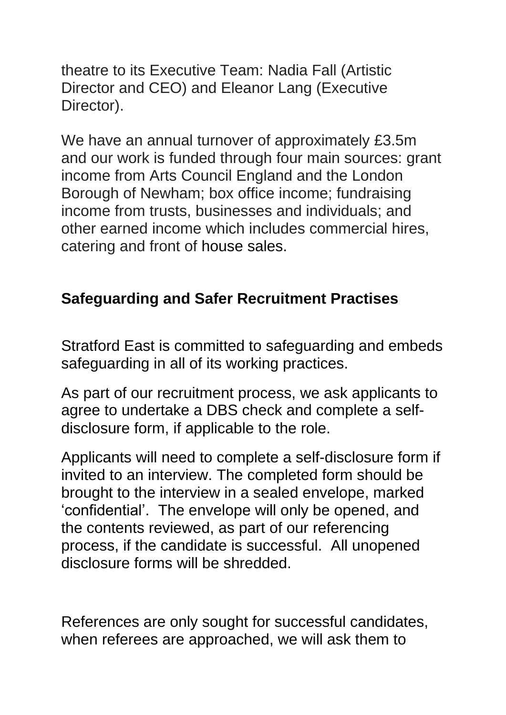theatre to its Executive Team: Nadia Fall (Artistic Director and CEO) and Eleanor Lang (Executive Director).

We have an annual turnover of approximately £3.5m and our work is funded through four main sources: grant income from Arts Council England and the London Borough of Newham; box office income; fundraising income from trusts, businesses and individuals; and other earned income which includes commercial hires, catering and front of house sales.

### **Safeguarding and Safer Recruitment Practises**

Stratford East is committed to safeguarding and embeds safeguarding in all of its working practices.

As part of our recruitment process, we ask applicants to agree to undertake a DBS check and complete a selfdisclosure form, if applicable to the role.

Applicants will need to complete a self-disclosure form if invited to an interview. The completed form should be brought to the interview in a sealed envelope, marked 'confidential'. The envelope will only be opened, and the contents reviewed, as part of our referencing process, if the candidate is successful. All unopened disclosure forms will be shredded.

References are only sought for successful candidates, when referees are approached, we will ask them to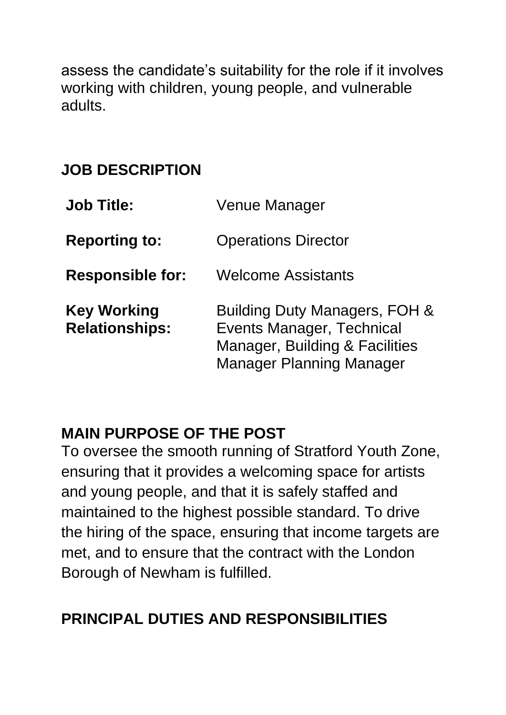assess the candidate's suitability for the role if it involves working with children, young people, and vulnerable adults.

# **JOB DESCRIPTION**

| <b>Job Title:</b>                           | <b>Venue Manager</b>                                                                                                                   |
|---------------------------------------------|----------------------------------------------------------------------------------------------------------------------------------------|
| <b>Reporting to:</b>                        | <b>Operations Director</b>                                                                                                             |
| <b>Responsible for:</b>                     | <b>Welcome Assistants</b>                                                                                                              |
| <b>Key Working</b><br><b>Relationships:</b> | Building Duty Managers, FOH &<br><b>Events Manager, Technical</b><br>Manager, Building & Facilities<br><b>Manager Planning Manager</b> |

#### **MAIN PURPOSE OF THE POST**

To oversee the smooth running of Stratford Youth Zone, ensuring that it provides a welcoming space for artists and young people, and that it is safely staffed and maintained to the highest possible standard. To drive the hiring of the space, ensuring that income targets are met, and to ensure that the contract with the London Borough of Newham is fulfilled.

## **PRINCIPAL DUTIES AND RESPONSIBILITIES**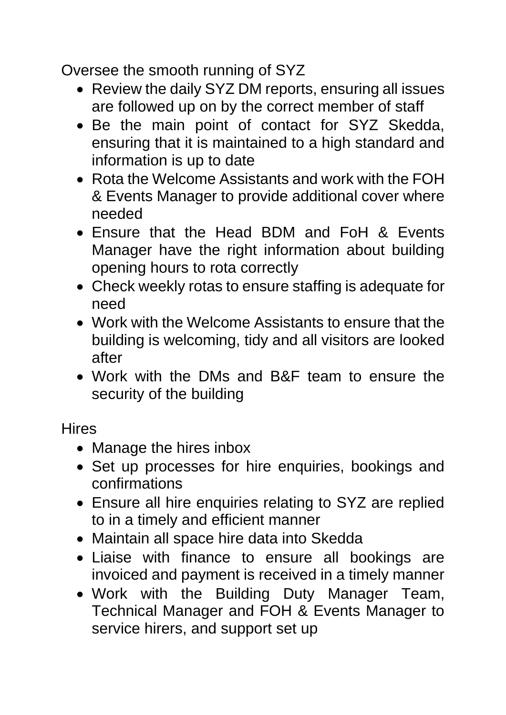Oversee the smooth running of SYZ

- Review the daily SYZ DM reports, ensuring all issues are followed up on by the correct member of staff
- Be the main point of contact for SYZ Skedda, ensuring that it is maintained to a high standard and information is up to date
- Rota the Welcome Assistants and work with the FOH & Events Manager to provide additional cover where needed
- Ensure that the Head BDM and FoH & Events Manager have the right information about building opening hours to rota correctly
- Check weekly rotas to ensure staffing is adequate for need
- Work with the Welcome Assistants to ensure that the building is welcoming, tidy and all visitors are looked after
- Work with the DMs and B&F team to ensure the security of the building

**Hires** 

- Manage the hires inbox
- Set up processes for hire enquiries, bookings and confirmations
- Ensure all hire enquiries relating to SYZ are replied to in a timely and efficient manner
- Maintain all space hire data into Skedda
- Liaise with finance to ensure all bookings are invoiced and payment is received in a timely manner
- Work with the Building Duty Manager Team, Technical Manager and FOH & Events Manager to service hirers, and support set up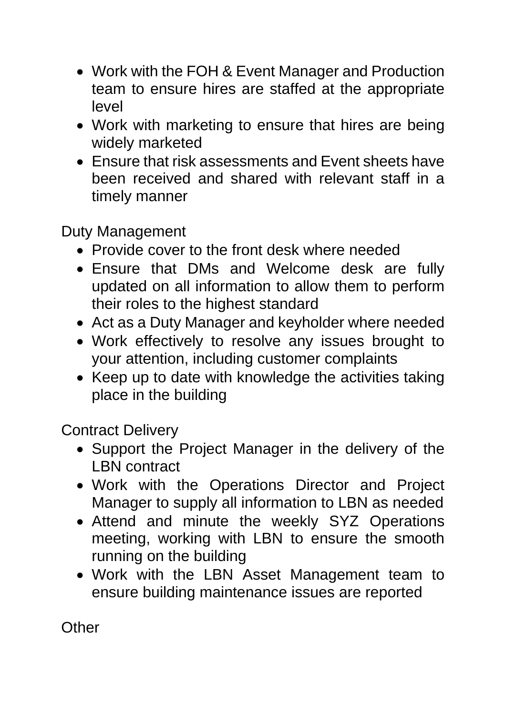- Work with the FOH & Event Manager and Production team to ensure hires are staffed at the appropriate level
- Work with marketing to ensure that hires are being widely marketed
- Ensure that risk assessments and Event sheets have been received and shared with relevant staff in a timely manner

Duty Management

- Provide cover to the front desk where needed
- Ensure that DMs and Welcome desk are fully updated on all information to allow them to perform their roles to the highest standard
- Act as a Duty Manager and keyholder where needed
- Work effectively to resolve any issues brought to your attention, including customer complaints
- Keep up to date with knowledge the activities taking place in the building

Contract Delivery

- Support the Project Manager in the delivery of the LBN contract
- Work with the Operations Director and Project Manager to supply all information to LBN as needed
- Attend and minute the weekly SYZ Operations meeting, working with LBN to ensure the smooth running on the building
- Work with the LBN Asset Management team to ensure building maintenance issues are reported

**Other**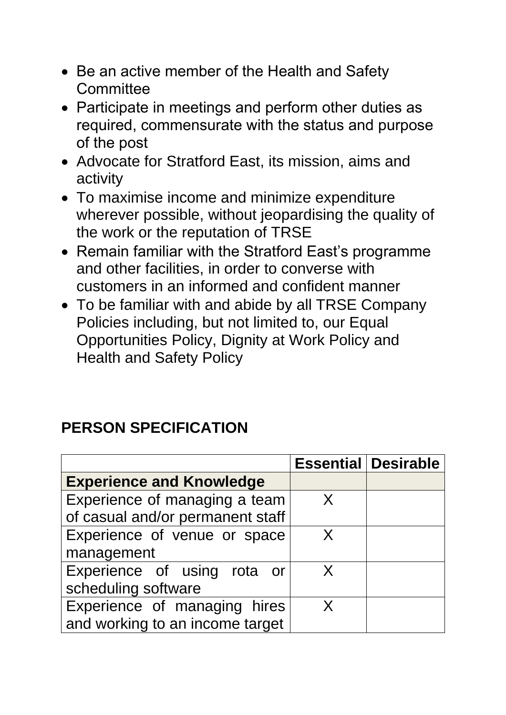- Be an active member of the Health and Safety **Committee**
- Participate in meetings and perform other duties as required, commensurate with the status and purpose of the post
- Advocate for Stratford East, its mission, aims and activity
- To maximise income and minimize expenditure wherever possible, without jeopardising the quality of the work or the reputation of TRSE
- Remain familiar with the Stratford East's programme and other facilities, in order to converse with customers in an informed and confident manner
- To be familiar with and abide by all TRSE Company Policies including, but not limited to, our Equal Opportunities Policy, Dignity at Work Policy and Health and Safety Policy

## **PERSON SPECIFICATION**

|                                  |   | <b>Essential Desirable</b> |
|----------------------------------|---|----------------------------|
| <b>Experience and Knowledge</b>  |   |                            |
| Experience of managing a team    | X |                            |
| of casual and/or permanent staff |   |                            |
| Experience of venue or space     | X |                            |
| management                       |   |                            |
| Experience of using rota or      | X |                            |
| scheduling software              |   |                            |
| Experience of managing hires     | X |                            |
| and working to an income target  |   |                            |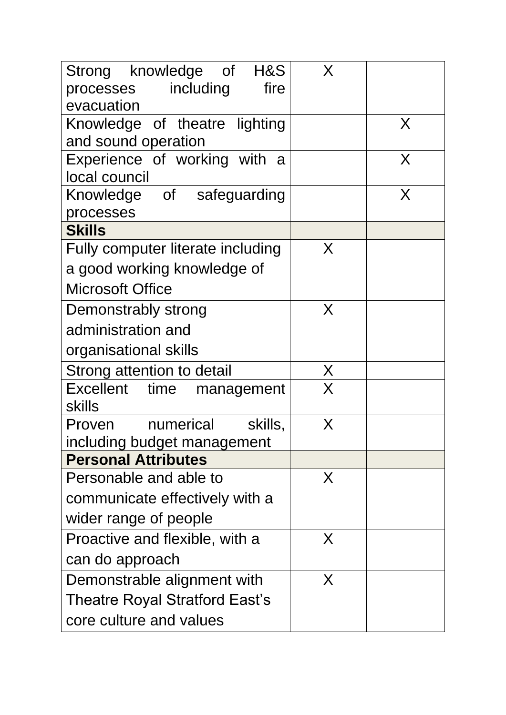| Strong knowledge of H&S                            | X                       |   |
|----------------------------------------------------|-------------------------|---|
| fire<br>processes including                        |                         |   |
| evacuation                                         |                         |   |
| Knowledge of theatre lighting                      |                         | X |
| and sound operation                                |                         |   |
| Experience of working with<br>a a<br>local council |                         | X |
| Knowledge of safeguarding                          |                         | X |
| processes                                          |                         |   |
| <b>Skills</b>                                      |                         |   |
| Fully computer literate including                  | X                       |   |
| a good working knowledge of                        |                         |   |
| <b>Microsoft Office</b>                            |                         |   |
| Demonstrably strong                                | X                       |   |
| administration and                                 |                         |   |
| organisational skills                              |                         |   |
| Strong attention to detail                         | X                       |   |
| Excellent time management<br><b>skills</b>         | $\overline{\mathsf{X}}$ |   |
| numerical<br>Proven<br>skills,                     | Χ                       |   |
| including budget management                        |                         |   |
| <b>Personal Attributes</b>                         |                         |   |
| Personable and able to                             | X                       |   |
| communicate effectively with a                     |                         |   |
| wider range of people                              |                         |   |
| Proactive and flexible, with a                     | X                       |   |
| can do approach                                    |                         |   |
| Demonstrable alignment with                        | X                       |   |
| Theatre Royal Stratford East's                     |                         |   |
| core culture and values                            |                         |   |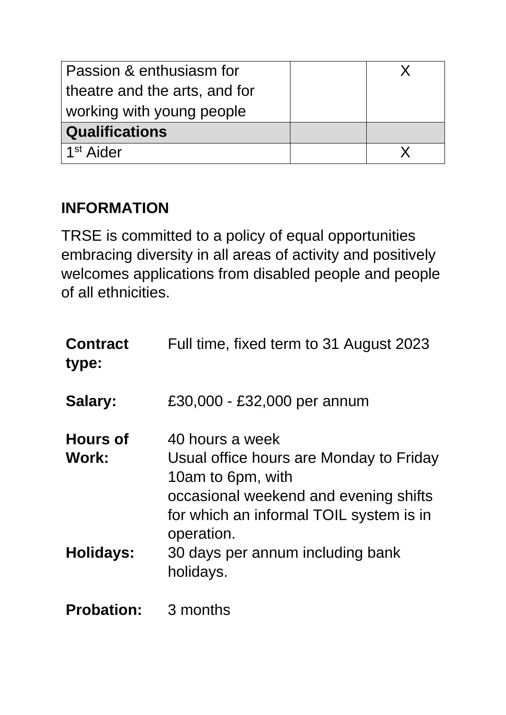| Passion & enthusiasm for      |  |
|-------------------------------|--|
| theatre and the arts, and for |  |
| working with young people     |  |
| <b>Qualifications</b>         |  |
| 1 <sup>st</sup> Aider         |  |

# **INFORMATION**

TRSE is committed to a policy of equal opportunities embracing diversity in all areas of activity and positively welcomes applications from disabled people and people of all ethnicities.

| <b>Contract</b><br>type: | Full time, fixed term to 31 August 2023                                                                                                                                           |
|--------------------------|-----------------------------------------------------------------------------------------------------------------------------------------------------------------------------------|
| Salary:                  | £30,000 - £32,000 per annum                                                                                                                                                       |
| <b>Hours of</b><br>Work: | 40 hours a week<br>Usual office hours are Monday to Friday<br>10am to 6pm, with<br>occasional weekend and evening shifts<br>for which an informal TOIL system is in<br>operation. |
| <b>Holidays:</b>         | 30 days per annum including bank<br>holidays.                                                                                                                                     |
| <b>Probation:</b>        | 3 months                                                                                                                                                                          |